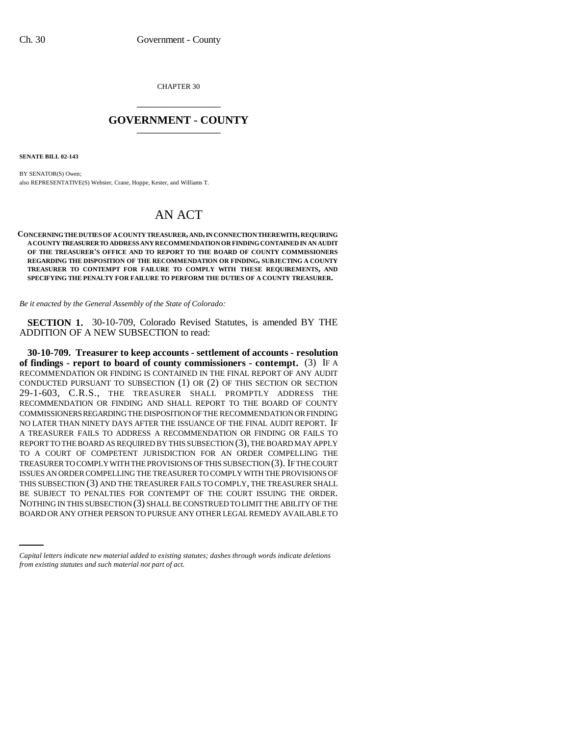CHAPTER 30 \_\_\_\_\_\_\_\_\_\_\_\_\_\_\_

## **GOVERNMENT - COUNTY** \_\_\_\_\_\_\_\_\_\_\_\_\_\_\_

**SENATE BILL 02-143**

BY SENATOR(S) Owen; also REPRESENTATIVE(S) Webster, Crane, Hoppe, Kester, and Williams T.

## AN ACT

**CONCERNING THE DUTIES OF A COUNTY TREASURER, AND, IN CONNECTION THEREWITH, REQUIRING A COUNTY TREASURER TO ADDRESS ANY RECOMMENDATION OR FINDING CONTAINED IN AN AUDIT OF THE TREASURER'S OFFICE AND TO REPORT TO THE BOARD OF COUNTY COMMISSIONERS REGARDING THE DISPOSITION OF THE RECOMMENDATION OR FINDING, SUBJECTING A COUNTY TREASURER TO CONTEMPT FOR FAILURE TO COMPLY WITH THESE REQUIREMENTS, AND SPECIFYING THE PENALTY FOR FAILURE TO PERFORM THE DUTIES OF A COUNTY TREASURER.**

*Be it enacted by the General Assembly of the State of Colorado:*

**SECTION 1.** 30-10-709, Colorado Revised Statutes, is amended BY THE ADDITION OF A NEW SUBSECTION to read:

BE SUBJECT TO PENALTIES FOR CONTEMPT OF THE COURT ISSUING THE ORDER.<br>Notung nitus subsection(2) sual beconstrued to mittue any two film **30-10-709. Treasurer to keep accounts - settlement of accounts - resolution of findings - report to board of county commissioners - contempt.** (3) IF A RECOMMENDATION OR FINDING IS CONTAINED IN THE FINAL REPORT OF ANY AUDIT CONDUCTED PURSUANT TO SUBSECTION (1) OR (2) OF THIS SECTION OR SECTION 29-1-603, C.R.S., THE TREASURER SHALL PROMPTLY ADDRESS THE RECOMMENDATION OR FINDING AND SHALL REPORT TO THE BOARD OF COUNTY COMMISSIONERS REGARDING THE DISPOSITION OF THE RECOMMENDATION OR FINDING NO LATER THAN NINETY DAYS AFTER THE ISSUANCE OF THE FINAL AUDIT REPORT. IF A TREASURER FAILS TO ADDRESS A RECOMMENDATION OR FINDING OR FAILS TO REPORT TO THE BOARD AS REQUIRED BY THIS SUBSECTION (3), THE BOARD MAY APPLY TO A COURT OF COMPETENT JURISDICTION FOR AN ORDER COMPELLING THE TREASURER TO COMPLY WITH THE PROVISIONS OF THIS SUBSECTION (3). IF THE COURT ISSUES AN ORDER COMPELLING THE TREASURER TO COMPLY WITH THE PROVISIONS OF THIS SUBSECTION (3) AND THE TREASURER FAILS TO COMPLY, THE TREASURER SHALL NOTHING IN THIS SUBSECTION (3) SHALL BE CONSTRUED TO LIMIT THE ABILITY OF THE BOARD OR ANY OTHER PERSON TO PURSUE ANY OTHER LEGAL REMEDY AVAILABLE TO

*Capital letters indicate new material added to existing statutes; dashes through words indicate deletions from existing statutes and such material not part of act.*